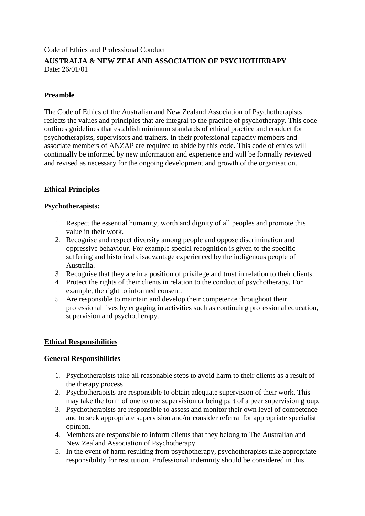Code of Ethics and Professional Conduct

# **AUSTRALIA & NEW ZEALAND ASSOCIATION OF PSYCHOTHERAPY** Date: 26/01/01

## **Preamble**

The Code of Ethics of the Australian and New Zealand Association of Psychotherapists reflects the values and principles that are integral to the practice of psychotherapy. This code outlines guidelines that establish minimum standards of ethical practice and conduct for psychotherapists, supervisors and trainers. In their professional capacity members and associate members of ANZAP are required to abide by this code. This code of ethics will continually be informed by new information and experience and will be formally reviewed and revised as necessary for the ongoing development and growth of the organisation.

## **Ethical Principles**

#### **Psychotherapists:**

- 1. Respect the essential humanity, worth and dignity of all peoples and promote this value in their work.
- 2. Recognise and respect diversity among people and oppose discrimination and oppressive behaviour. For example special recognition is given to the specific suffering and historical disadvantage experienced by the indigenous people of Australia.
- 3. Recognise that they are in a position of privilege and trust in relation to their clients.
- 4. Protect the rights of their clients in relation to the conduct of psychotherapy. For example, the right to informed consent.
- 5. Are responsible to maintain and develop their competence throughout their professional lives by engaging in activities such as continuing professional education, supervision and psychotherapy.

#### **Ethical Responsibilities**

#### **General Responsibilities**

- 1. Psychotherapists take all reasonable steps to avoid harm to their clients as a result of the therapy process.
- 2. Psychotherapists are responsible to obtain adequate supervision of their work. This may take the form of one to one supervision or being part of a peer supervision group.
- 3. Psychotherapists are responsible to assess and monitor their own level of competence and to seek appropriate supervision and/or consider referral for appropriate specialist opinion.
- 4. Members are responsible to inform clients that they belong to The Australian and New Zealand Association of Psychotherapy.
- 5. In the event of harm resulting from psychotherapy, psychotherapists take appropriate responsibility for restitution. Professional indemnity should be considered in this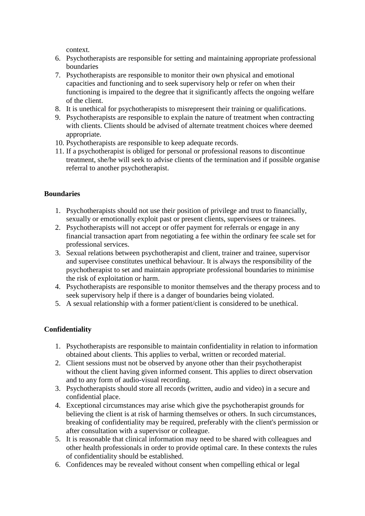context.

- 6. Psychotherapists are responsible for setting and maintaining appropriate professional boundaries
- 7. Psychotherapists are responsible to monitor their own physical and emotional capacities and functioning and to seek supervisory help or refer on when their functioning is impaired to the degree that it significantly affects the ongoing welfare of the client.
- 8. It is unethical for psychotherapists to misrepresent their training or qualifications.
- 9. Psychotherapists are responsible to explain the nature of treatment when contracting with clients. Clients should be advised of alternate treatment choices where deemed appropriate.
- 10. Psychotherapists are responsible to keep adequate records.
- 11. If a psychotherapist is obliged for personal or professional reasons to discontinue treatment, she/he will seek to advise clients of the termination and if possible organise referral to another psychotherapist.

# **Boundaries**

- 1. Psychotherapists should not use their position of privilege and trust to financially, sexually or emotionally exploit past or present clients, supervisees or trainees.
- 2. Psychotherapists will not accept or offer payment for referrals or engage in any financial transaction apart from negotiating a fee within the ordinary fee scale set for professional services.
- 3. Sexual relations between psychotherapist and client, trainer and trainee, supervisor and supervisee constitutes unethical behaviour. It is always the responsibility of the psychotherapist to set and maintain appropriate professional boundaries to minimise the risk of exploitation or harm.
- 4. Psychotherapists are responsible to monitor themselves and the therapy process and to seek supervisory help if there is a danger of boundaries being violated.
- 5. A sexual relationship with a former patient/client is considered to be unethical.

# **Confidentiality**

- 1. Psychotherapists are responsible to maintain confidentiality in relation to information obtained about clients. This applies to verbal, written or recorded material.
- 2. Client sessions must not be observed by anyone other than their psychotherapist without the client having given informed consent. This applies to direct observation and to any form of audio-visual recording.
- 3. Psychotherapists should store all records (written, audio and video) in a secure and confidential place.
- 4. Exceptional circumstances may arise which give the psychotherapist grounds for believing the client is at risk of harming themselves or others. In such circumstances, breaking of confidentiality may be required, preferably with the client's permission or after consultation with a supervisor or colleague.
- 5. It is reasonable that clinical information may need to be shared with colleagues and other health professionals in order to provide optimal care. In these contexts the rules of confidentiality should be established.
- 6. Confidences may be revealed without consent when compelling ethical or legal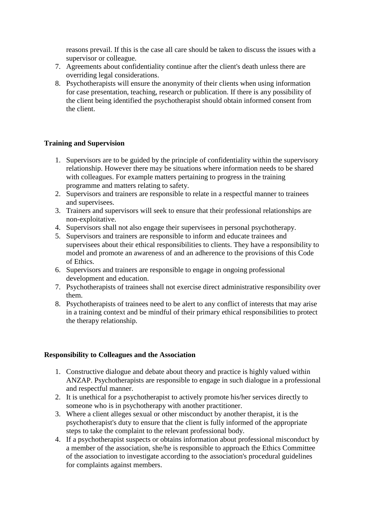reasons prevail. If this is the case all care should be taken to discuss the issues with a supervisor or colleague.

- 7. Agreements about confidentiality continue after the client's death unless there are overriding legal considerations.
- 8. Psychotherapists will ensure the anonymity of their clients when using information for case presentation, teaching, research or publication. If there is any possibility of the client being identified the psychotherapist should obtain informed consent from the client.

## **Training and Supervision**

- 1. Supervisors are to be guided by the principle of confidentiality within the supervisory relationship. However there may be situations where information needs to be shared with colleagues. For example matters pertaining to progress in the training programme and matters relating to safety.
- 2. Supervisors and trainers are responsible to relate in a respectful manner to trainees and supervisees.
- 3. Trainers and supervisors will seek to ensure that their professional relationships are non-exploitative.
- 4. Supervisors shall not also engage their supervisees in personal psychotherapy.
- 5. Supervisors and trainers are responsible to inform and educate trainees and supervisees about their ethical responsibilities to clients. They have a responsibility to model and promote an awareness of and an adherence to the provisions of this Code of Ethics.
- 6. Supervisors and trainers are responsible to engage in ongoing professional development and education.
- 7. Psychotherapists of trainees shall not exercise direct administrative responsibility over them.
- 8. Psychotherapists of trainees need to be alert to any conflict of interests that may arise in a training context and be mindful of their primary ethical responsibilities to protect the therapy relationship.

#### **Responsibility to Colleagues and the Association**

- 1. Constructive dialogue and debate about theory and practice is highly valued within ANZAP. Psychotherapists are responsible to engage in such dialogue in a professional and respectful manner.
- 2. It is unethical for a psychotherapist to actively promote his/her services directly to someone who is in psychotherapy with another practitioner.
- 3. Where a client alleges sexual or other misconduct by another therapist, it is the psychotherapist's duty to ensure that the client is fully informed of the appropriate steps to take the complaint to the relevant professional body.
- 4. If a psychotherapist suspects or obtains information about professional misconduct by a member of the association, she/he is responsible to approach the Ethics Committee of the association to investigate according to the association's procedural guidelines for complaints against members.